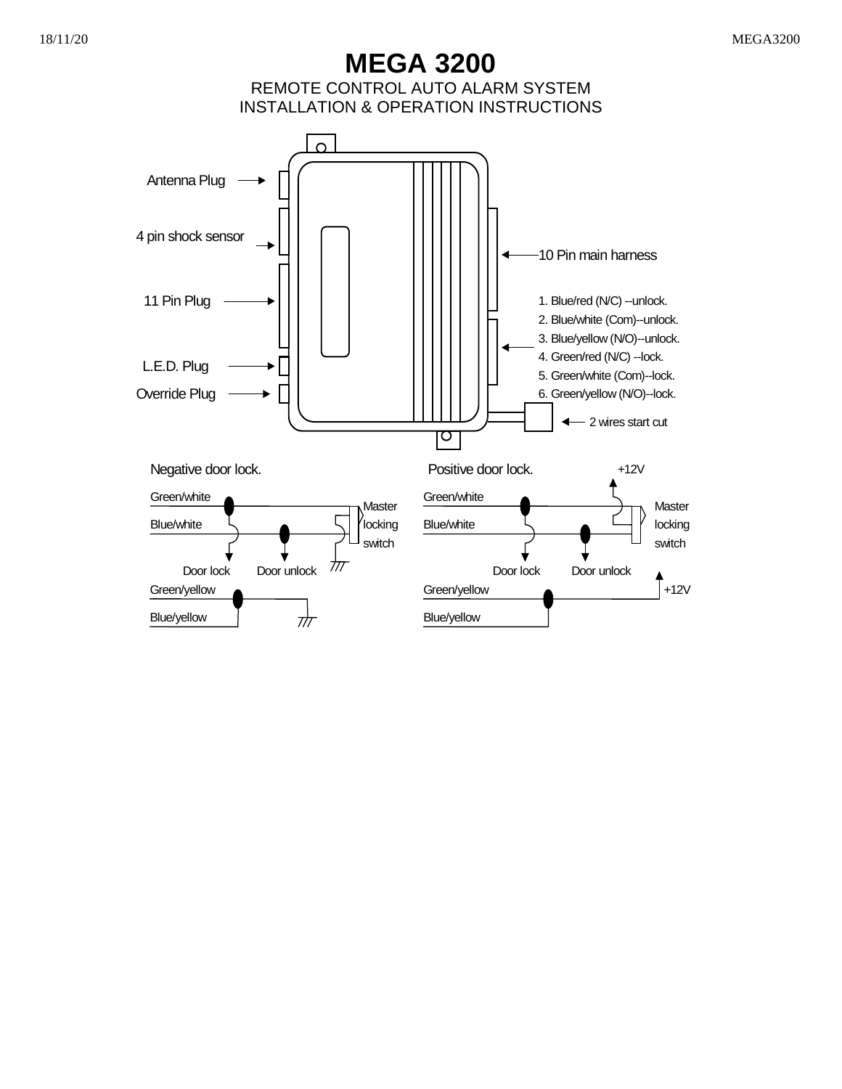# 18/11/20 MEGA3200

**MEGA 3200**  REMOTE CONTROL AUTO ALARM SYSTEM INSTALLATION & OPERATION INSTRUCTIONS

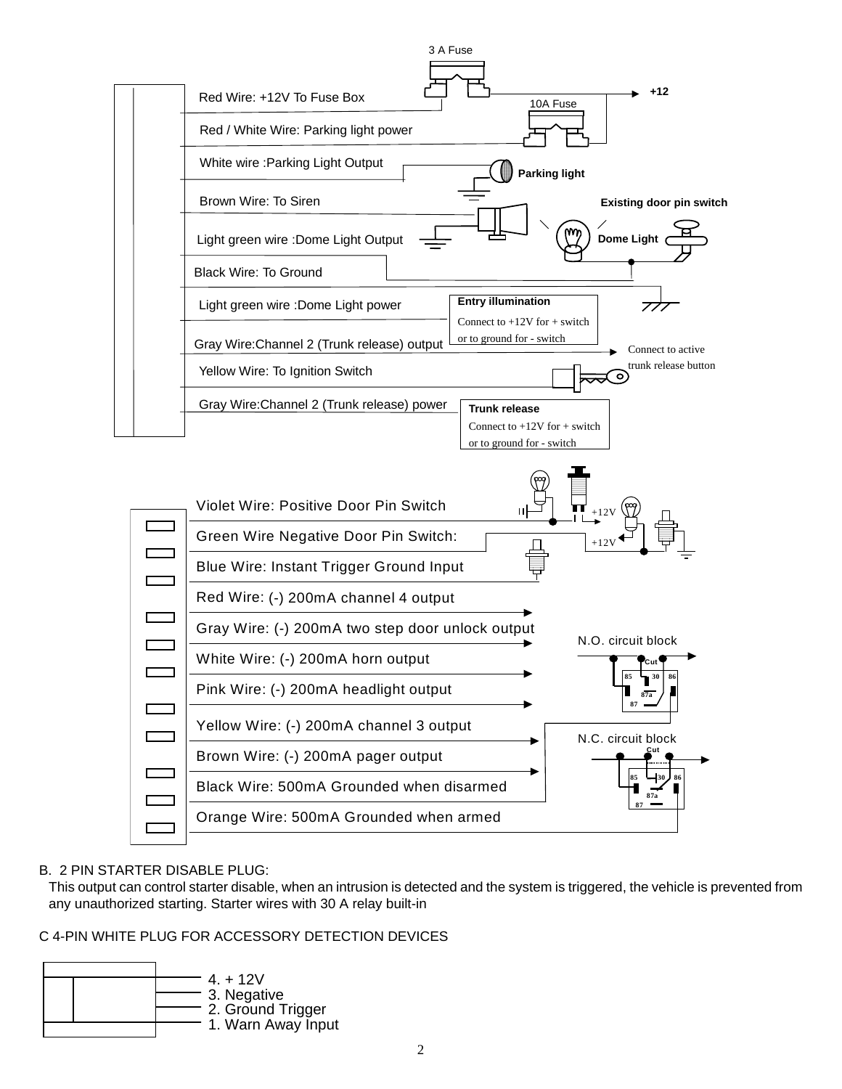

# B. 2 PIN STARTER DISABLE PLUG:

This output can control starter disable, when an intrusion is detected and the system is triggered, the vehicle is prevented from any unauthorized starting. Starter wires with 30 A relay built-in

# C 4-PIN WHITE PLUG FOR ACCESSORY DETECTION DEVICES

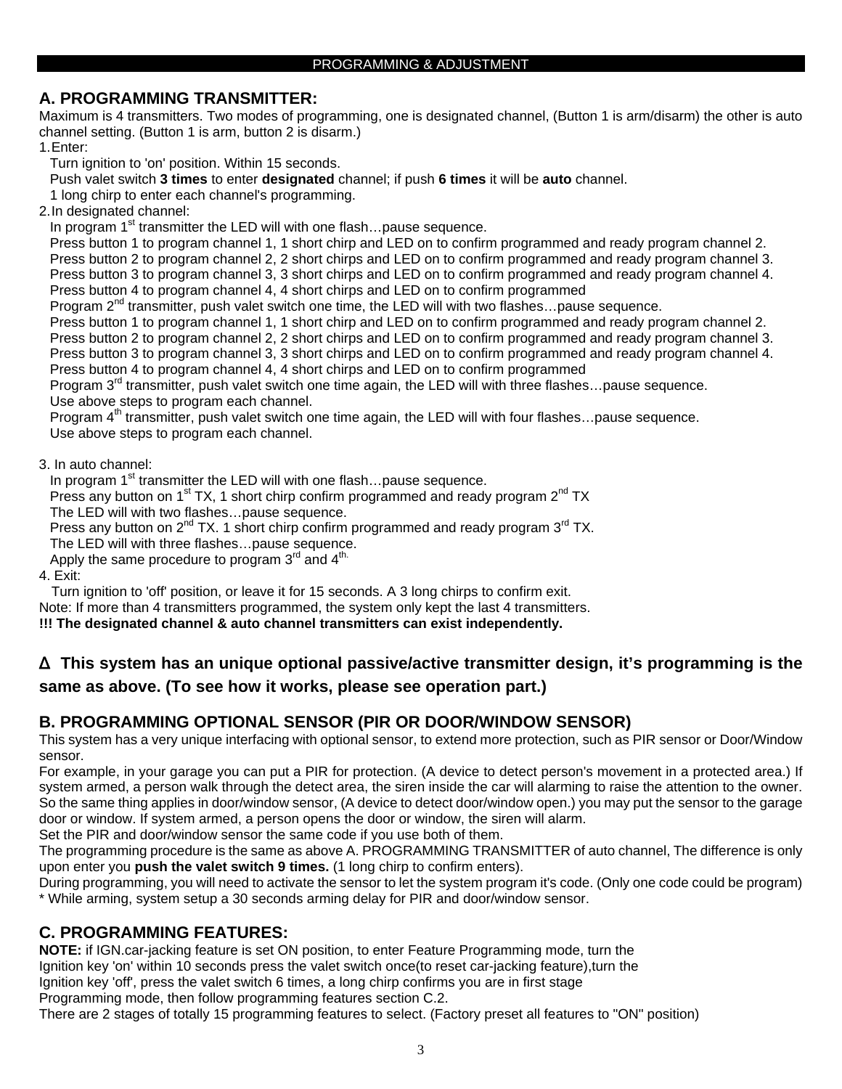# **A. PROGRAMMING TRANSMITTER:**

Maximum is 4 transmitters. Two modes of programming, one is designated channel, (Button 1 is arm/disarm) the other is auto channel setting. (Button 1 is arm, button 2 is disarm.)

1. Enter:

Turn ignition to 'on' position. Within 15 seconds.

Push valet switch **3 times** to enter **designated** channel; if push **6 times** it will be **auto** channel.

1 long chirp to enter each channel's programming.

2. In designated channel:

In program 1<sup>st</sup> transmitter the LED will with one flash...pause sequence.

Press button 1 to program channel 1, 1 short chirp and LED on to confirm programmed and ready program channel 2.

Press button 2 to program channel 2, 2 short chirps and LED on to confirm programmed and ready program channel 3.

Press button 3 to program channel 3, 3 short chirps and LED on to confirm programmed and ready program channel 4. Press button 4 to program channel 4, 4 short chirps and LED on to confirm programmed

Program 2<sup>nd</sup> transmitter, push valet switch one time, the LED will with two flashes...pause sequence.

Press button 1 to program channel 1, 1 short chirp and LED on to confirm programmed and ready program channel 2.

Press button 2 to program channel 2, 2 short chirps and LED on to confirm programmed and ready program channel 3. Press button 3 to program channel 3, 3 short chirps and LED on to confirm programmed and ready program channel 4. Press button 4 to program channel 4, 4 short chirps and LED on to confirm programmed

Program 3<sup>rd</sup> transmitter, push valet switch one time again, the LED will with three flashes...pause sequence.

Use above steps to program each channel.

Program  $4<sup>th</sup>$  transmitter, push valet switch one time again, the LED will with four flashes...pause sequence. Use above steps to program each channel.

3. In auto channel:

In program  $1<sup>st</sup>$  transmitter the LED will with one flash... pause sequence.

Press any button on  $1<sup>st</sup> TX$ , 1 short chirp confirm programmed and ready program  $2<sup>nd</sup> TX$ The LED will with two flashes…pause sequence.

Press any button on  $2^{nd}$  TX. 1 short chirp confirm programmed and ready program  $3^{rd}$  TX.

The LED will with three flashes…pause sequence.

Apply the same procedure to program  $3^{\text{rd}}$  and  $4^{\text{th}}$ .

4. Exit:

Turn ignition to 'off' position, or leave it for 15 seconds. A 3 long chirps to confirm exit.

Note: If more than 4 transmitters programmed, the system only kept the last 4 transmitters.

**!!! The designated channel & auto channel transmitters can exist independently.** 

# Δ **This system has an unique optional passive/active transmitter design, it's programming is the same as above. (To see how it works, please see operation part.)**

# **B. PROGRAMMING OPTIONAL SENSOR (PIR OR DOOR/WINDOW SENSOR)**

This system has a very unique interfacing with optional sensor, to extend more protection, such as PIR sensor or Door/Window sensor.

For example, in your garage you can put a PIR for protection. (A device to detect person's movement in a protected area.) If system armed, a person walk through the detect area, the siren inside the car will alarming to raise the attention to the owner. So the same thing applies in door/window sensor, (A device to detect door/window open.) you may put the sensor to the garage door or window. If system armed, a person opens the door or window, the siren will alarm.

Set the PIR and door/window sensor the same code if you use both of them.

The programming procedure is the same as above A. PROGRAMMING TRANSMITTER of auto channel, The difference is only upon enter you **push the valet switch 9 times.** (1 long chirp to confirm enters).

During programming, you will need to activate the sensor to let the system program it's code. (Only one code could be program) \* While arming, system setup a 30 seconds arming delay for PIR and door/window sensor.

# **C. PROGRAMMING FEATURES:**

**NOTE:** if IGN.car-jacking feature is set ON position, to enter Feature Programming mode, turn the

Ignition key 'on' within 10 seconds press the valet switch once(to reset car-jacking feature),turn the

Ignition key 'off', press the valet switch 6 times, a long chirp confirms you are in first stage Programming mode, then follow programming features section C.2.

There are 2 stages of totally 15 programming features to select. (Factory preset all features to "ON" position)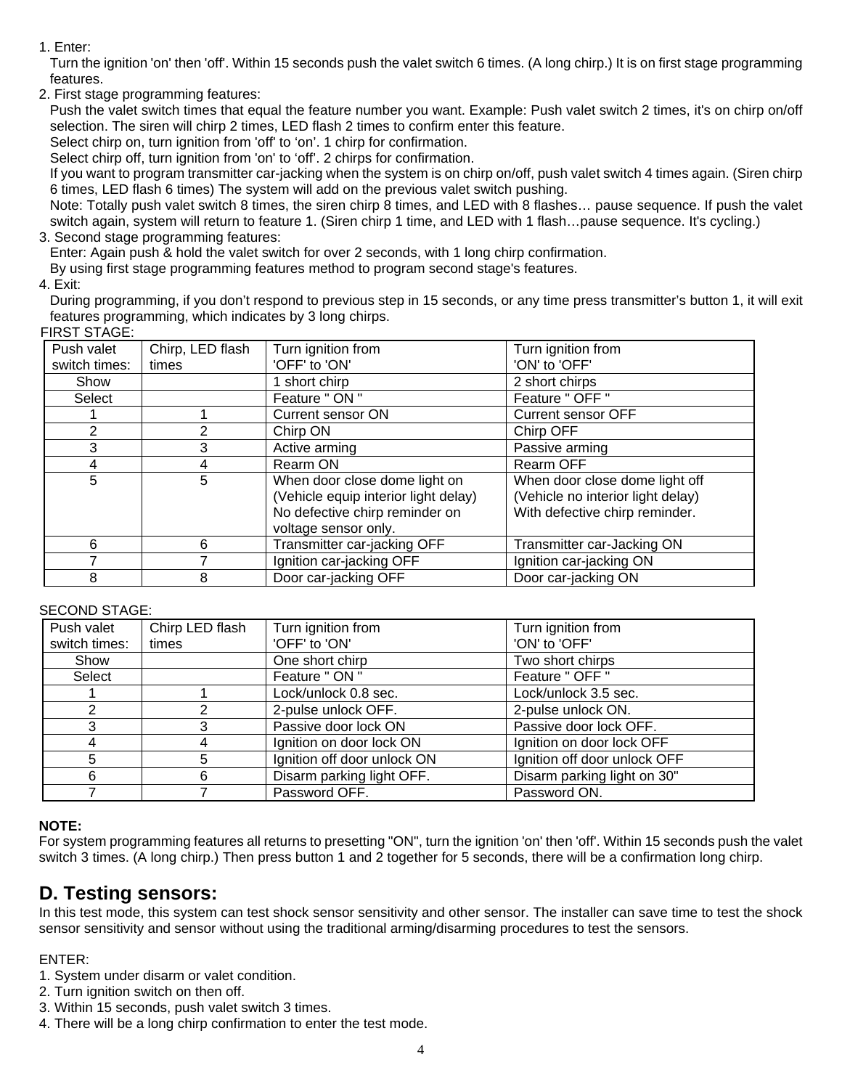1. Enter:

Turn the ignition 'on' then 'off'. Within 15 seconds push the valet switch 6 times. (A long chirp.) It is on first stage programming features.

2. First stage programming features:

Push the valet switch times that equal the feature number you want. Example: Push valet switch 2 times, it's on chirp on/off selection. The siren will chirp 2 times, LED flash 2 times to confirm enter this feature.

Select chirp on, turn ignition from 'off' to 'on'. 1 chirp for confirmation.

Select chirp off, turn ignition from 'on' to 'off'. 2 chirps for confirmation.

If you want to program transmitter car-jacking when the system is on chirp on/off, push valet switch 4 times again. (Siren chirp 6 times, LED flash 6 times) The system will add on the previous valet switch pushing.

Note: Totally push valet switch 8 times, the siren chirp 8 times, and LED with 8 flashes… pause sequence. If push the valet switch again, system will return to feature 1. (Siren chirp 1 time, and LED with 1 flash…pause sequence. It's cycling.)

# 3. Second stage programming features:

Enter: Again push & hold the valet switch for over 2 seconds, with 1 long chirp confirmation.

By using first stage programming features method to program second stage's features.

4. Exit:

During programming, if you don't respond to previous step in 15 seconds, or any time press transmitter's button 1, it will exit features programming, which indicates by 3 long chirps.

# FIRST STAGE:

| .             |                  |                                      |                                   |  |  |
|---------------|------------------|--------------------------------------|-----------------------------------|--|--|
| Push valet    | Chirp, LED flash | Turn ignition from                   | Turn ignition from                |  |  |
| switch times: | times            | 'OFF' to 'ON'                        | 'ON' to 'OFF'                     |  |  |
| Show          |                  | 1 short chirp                        | 2 short chirps                    |  |  |
| Select        |                  | Feature " ON "                       | Feature " OFF "                   |  |  |
|               |                  | Current sensor ON                    | <b>Current sensor OFF</b>         |  |  |
| 2             | 2                | Chirp ON                             | Chirp OFF                         |  |  |
|               | 3                | Active arming                        | Passive arming                    |  |  |
| 4             | 4                | Rearm ON                             | <b>Rearm OFF</b>                  |  |  |
| 5             | 5                | When door close dome light on        | When door close dome light off    |  |  |
|               |                  | (Vehicle equip interior light delay) | (Vehicle no interior light delay) |  |  |
|               |                  | No defective chirp reminder on       | With defective chirp reminder.    |  |  |
|               |                  | voltage sensor only.                 |                                   |  |  |
| 6             | 6                | Transmitter car-jacking OFF          | Transmitter car-Jacking ON        |  |  |
|               |                  | Ignition car-jacking OFF             | Ignition car-jacking ON           |  |  |
| 8             | 8                | Door car-jacking OFF                 | Door car-jacking ON               |  |  |

# SECOND STAGE:

| Push valet    | Chirp LED flash | Turn ignition from          | Turn ignition from           |  |
|---------------|-----------------|-----------------------------|------------------------------|--|
| switch times: | times           | 'OFF' to 'ON'               | 'ON' to 'OFF'                |  |
| Show          |                 | One short chirp             | Two short chirps             |  |
| Select        |                 | Feature " ON "              | Feature " OFF "              |  |
|               |                 | Lock/unlock 0.8 sec.        | Lock/unlock 3.5 sec.         |  |
|               | ⌒               | 2-pulse unlock OFF.         | 2-pulse unlock ON.           |  |
| 3             | 3               | Passive door lock ON        | Passive door lock OFF.       |  |
|               |                 | Ignition on door lock ON    | Ignition on door lock OFF    |  |
| 5             | 5               | Ignition off door unlock ON | Ignition off door unlock OFF |  |
| 6             | 6               | Disarm parking light OFF.   | Disarm parking light on 30"  |  |
|               |                 | Password OFF.               | Password ON.                 |  |

# **NOTE:**

For system programming features all returns to presetting "ON", turn the ignition 'on' then 'off'. Within 15 seconds push the valet switch 3 times. (A long chirp.) Then press button 1 and 2 together for 5 seconds, there will be a confirmation long chirp.

# **D. Testing sensors:**

In this test mode, this system can test shock sensor sensitivity and other sensor. The installer can save time to test the shock sensor sensitivity and sensor without using the traditional arming/disarming procedures to test the sensors.

# ENTER:

- 1. System under disarm or valet condition.
- 2. Turn ignition switch on then off.
- 3. Within 15 seconds, push valet switch 3 times.
- 4. There will be a long chirp confirmation to enter the test mode.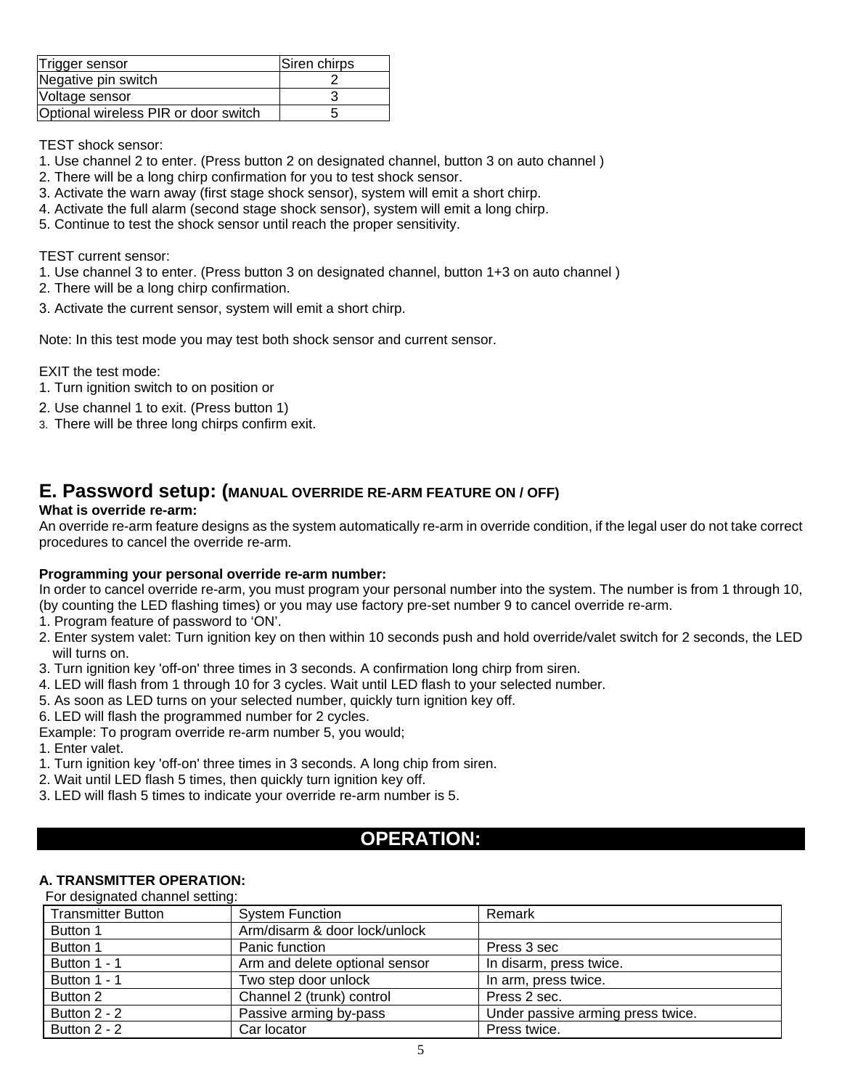| Trigger sensor                       | Siren chirps |
|--------------------------------------|--------------|
| Negative pin switch                  |              |
| Voltage sensor                       |              |
| Optional wireless PIR or door switch |              |

TEST shock sensor:

- 1. Use channel 2 to enter. (Press button 2 on designated channel, button 3 on auto channel )
- 2. There will be a long chirp confirmation for you to test shock sensor.
- 3. Activate the warn away (first stage shock sensor), system will emit a short chirp.
- 4. Activate the full alarm (second stage shock sensor), system will emit a long chirp.
- 5. Continue to test the shock sensor until reach the proper sensitivity.

TEST current sensor:

- 1. Use channel 3 to enter. (Press button 3 on designated channel, button 1+3 on auto channel )
- 2. There will be a long chirp confirmation.
- 3. Activate the current sensor, system will emit a short chirp.

Note: In this test mode you may test both shock sensor and current sensor.

EXIT the test mode:

- 1. Turn ignition switch to on position or
- 2. Use channel 1 to exit. (Press button 1)
- 3. There will be three long chirps confirm exit.

# **E. Password setup: (MANUAL OVERRIDE RE-ARM FEATURE ON / OFF)**

# **What is override re-arm:**

An override re-arm feature designs as the system automatically re-arm in override condition, if the legal user do not take correct procedures to cancel the override re-arm.

#### **Programming your personal override re-arm number:**

In order to cancel override re-arm, you must program your personal number into the system. The number is from 1 through 10, (by counting the LED flashing times) or you may use factory pre-set number 9 to cancel override re-arm.

- 1. Program feature of password to 'ON'.
- 2. Enter system valet: Turn ignition key on then within 10 seconds push and hold override/valet switch for 2 seconds, the LED will turns on.
- 3. Turn ignition key 'off-on' three times in 3 seconds. A confirmation long chirp from siren.
- 4. LED will flash from 1 through 10 for 3 cycles. Wait until LED flash to your selected number.
- 5. As soon as LED turns on your selected number, quickly turn ignition key off.
- 6. LED will flash the programmed number for 2 cycles.
- Example: To program override re-arm number 5, you would;
- 1. Enter valet.
- 1. Turn ignition key 'off-on' three times in 3 seconds. A long chip from siren.
- 2. Wait until LED flash 5 times, then quickly turn ignition key off.
- 3. LED will flash 5 times to indicate your override re-arm number is 5.

# **OPERATION:**

# **A. TRANSMITTER OPERATION:**

#### For designated channel setting:

| <b>Transmitter Button</b> | <b>System Function</b>         | Remark                            |
|---------------------------|--------------------------------|-----------------------------------|
| Button 1                  | Arm/disarm & door lock/unlock  |                                   |
| Button 1                  | Panic function                 | Press 3 sec                       |
| Button 1 - 1              | Arm and delete optional sensor | In disarm, press twice.           |
| Button 1 - 1              | Two step door unlock           | In arm, press twice.              |
| Button 2                  | Channel 2 (trunk) control      | Press 2 sec.                      |
| Button 2 - 2              | Passive arming by-pass         | Under passive arming press twice. |
| Button 2 - 2              | Car locator                    | Press twice.                      |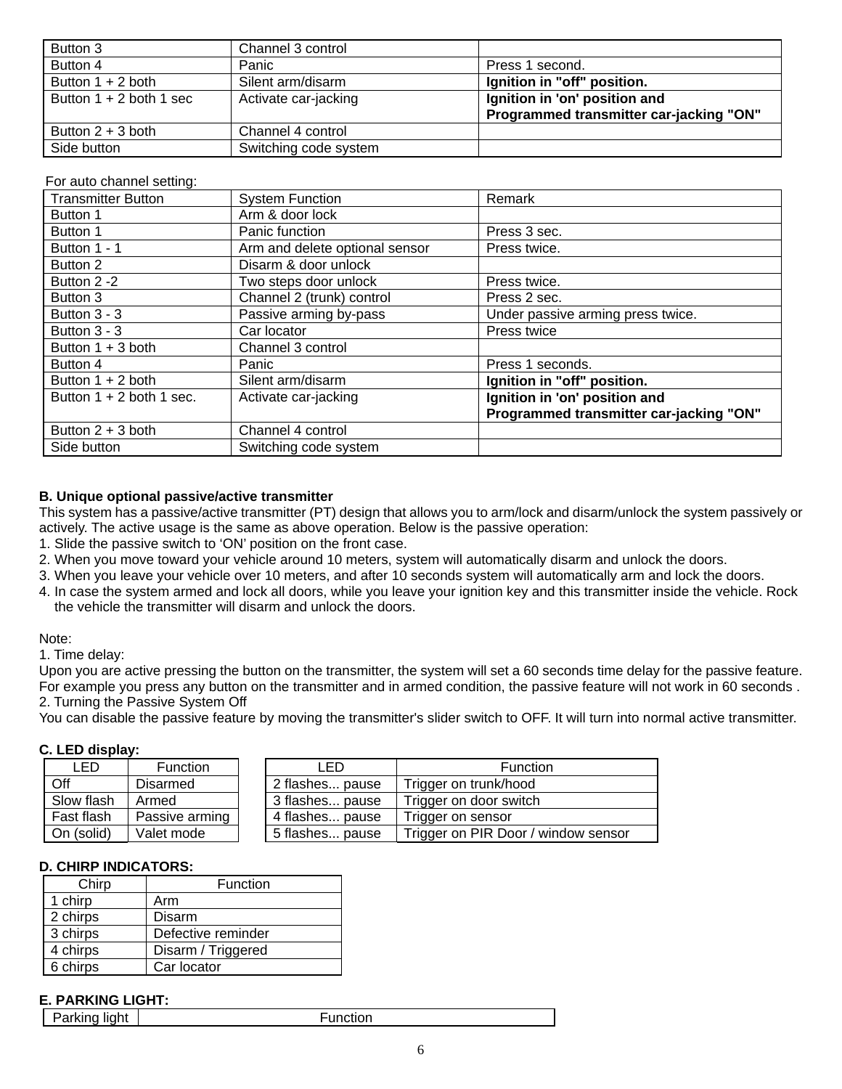| Button 3                  | Channel 3 control     |                                         |
|---------------------------|-----------------------|-----------------------------------------|
| Button 4                  | Panic                 | Press 1 second.                         |
| Button $1 + 2$ both       | Silent arm/disarm     | Ignition in "off" position.             |
| Button $1 + 2$ both 1 sec | Activate car-jacking  | Ignition in 'on' position and           |
|                           |                       | Programmed transmitter car-jacking "ON" |
| Button $2 + 3$ both       | Channel 4 control     |                                         |
| Side button               | Switching code system |                                         |

# For auto channel setting:

| Transmitter Button         | <b>System Function</b>         | Remark                                  |
|----------------------------|--------------------------------|-----------------------------------------|
| Button 1                   | Arm & door lock                |                                         |
| Button 1                   | Panic function                 | Press 3 sec.                            |
| Button 1 - 1               | Arm and delete optional sensor | Press twice.                            |
| Button 2                   | Disarm & door unlock           |                                         |
| Button 2 -2                | Two steps door unlock          | Press twice.                            |
| Button 3                   | Channel 2 (trunk) control      | Press 2 sec.                            |
| Button $3 - 3$             | Passive arming by-pass         | Under passive arming press twice.       |
| Button $3 - 3$             | Car locator                    | Press twice                             |
| Button $1 + 3$ both        | Channel 3 control              |                                         |
| Button 4                   | Panic                          | Press 1 seconds.                        |
| Button $1 + 2$ both        | Silent arm/disarm              | Ignition in "off" position.             |
| Button $1 + 2$ both 1 sec. | Activate car-jacking           | Ignition in 'on' position and           |
|                            |                                | Programmed transmitter car-jacking "ON" |
| Button $2 + 3$ both        | Channel 4 control              |                                         |
| Side button                | Switching code system          |                                         |

#### **B. Unique optional passive/active transmitter**

This system has a passive/active transmitter (PT) design that allows you to arm/lock and disarm/unlock the system passively or actively. The active usage is the same as above operation. Below is the passive operation:

- 1. Slide the passive switch to 'ON' position on the front case.
- 2. When you move toward your vehicle around 10 meters, system will automatically disarm and unlock the doors.
- 3. When you leave your vehicle over 10 meters, and after 10 seconds system will automatically arm and lock the doors.
- 4. In case the system armed and lock all doors, while you leave your ignition key and this transmitter inside the vehicle. Rock the vehicle the transmitter will disarm and unlock the doors.

#### Note:

1. Time delay:

Upon you are active pressing the button on the transmitter, the system will set a 60 seconds time delay for the passive feature. For example you press any button on the transmitter and in armed condition, the passive feature will not work in 60 seconds . 2. Turning the Passive System Off

You can disable the passive feature by moving the transmitter's slider switch to OFF. It will turn into normal active transmitter.

#### **C. LED display:**

| LED        | Function        | LED             | Function                            |
|------------|-----------------|-----------------|-------------------------------------|
| Off        | <b>Disarmed</b> | 2 flashes pause | Trigger on trunk/hood               |
| Slow flash | Armed           | 3 flashes pause | Trigger on door switch              |
| Fast flash | Passive arming  | 4 flashes pause | Trigger on sensor                   |
| On (solid) | Valet mode      | 5 flashes pause | Trigger on PIR Door / window sensor |

#### **D. CHIRP INDICATORS:**

| Chirp    | Function           |
|----------|--------------------|
| 1 chirp  | Arm                |
| 2 chirps | Disarm             |
| 3 chirps | Defective reminder |
| 4 chirps | Disarm / Triggered |
| 6 chirps | Car locator        |

#### **E. PARKING LIGHT:**

Parking light Function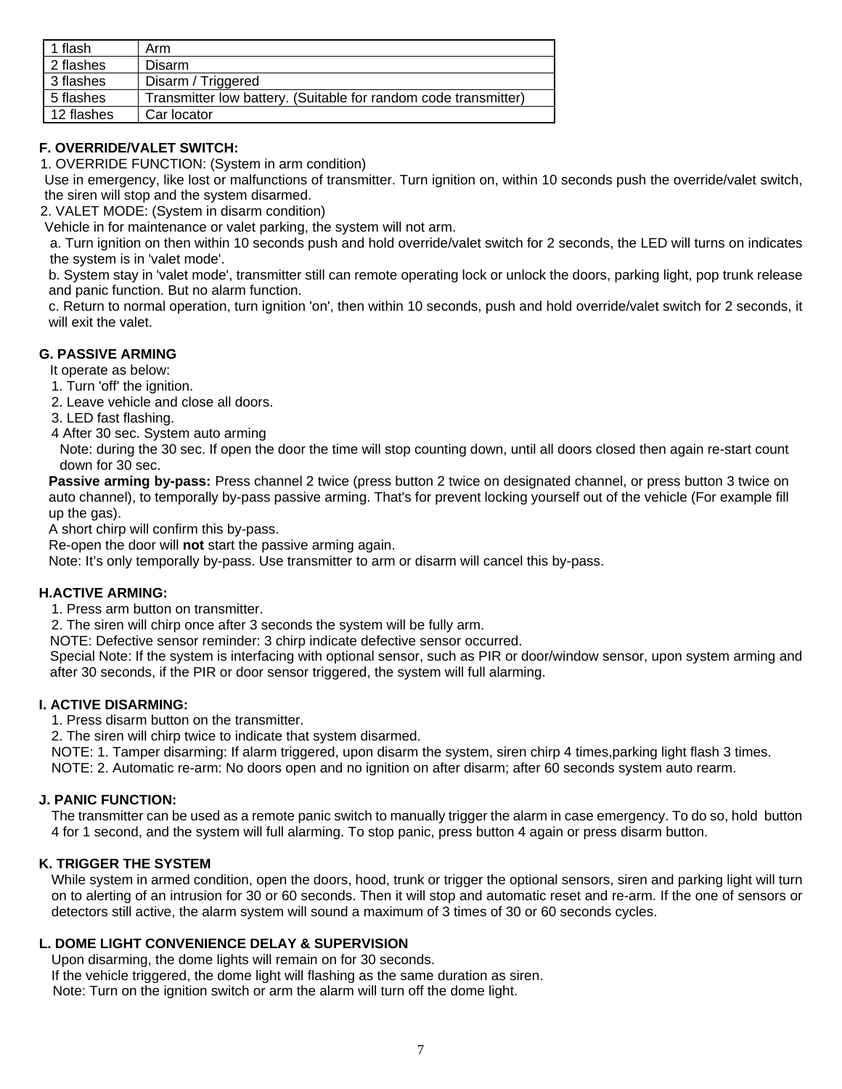| flash      | Arm                                                             |
|------------|-----------------------------------------------------------------|
| 2 flashes  | Disarm                                                          |
| 3 flashes  | Disarm / Triggered                                              |
| 5 flashes  | Transmitter low battery. (Suitable for random code transmitter) |
| 12 flashes | Car locator                                                     |

# **F. OVERRIDE/VALET SWITCH:**

1. OVERRIDE FUNCTION: (System in arm condition)

Use in emergency, like lost or malfunctions of transmitter. Turn ignition on, within 10 seconds push the override/valet switch, the siren will stop and the system disarmed.

2. VALET MODE: (System in disarm condition)

Vehicle in for maintenance or valet parking, the system will not arm.

a. Turn ignition on then within 10 seconds push and hold override/valet switch for 2 seconds, the LED will turns on indicates the system is in 'valet mode'.

b. System stay in 'valet mode', transmitter still can remote operating lock or unlock the doors, parking light, pop trunk release and panic function. But no alarm function.

c. Return to normal operation, turn ignition 'on', then within 10 seconds, push and hold override/valet switch for 2 seconds, it will exit the valet.

# **G. PASSIVE ARMING**

It operate as below:

1. Turn 'off' the ignition.

2. Leave vehicle and close all doors.

3. LED fast flashing.

4 After 30 sec. System auto arming

Note: during the 30 sec. If open the door the time will stop counting down, until all doors closed then again re-start count down for 30 sec.

**Passive arming by-pass:** Press channel 2 twice (press button 2 twice on designated channel, or press button 3 twice on auto channel), to temporally by-pass passive arming. That's for prevent locking yourself out of the vehicle (For example fill up the gas).

A short chirp will confirm this by-pass.

Re-open the door will **not** start the passive arming again.

Note: It's only temporally by-pass. Use transmitter to arm or disarm will cancel this by-pass.

# **H.ACTIVE ARMING:**

1. Press arm button on transmitter.

2. The siren will chirp once after 3 seconds the system will be fully arm.

NOTE: Defective sensor reminder: 3 chirp indicate defective sensor occurred.

Special Note: If the system is interfacing with optional sensor, such as PIR or door/window sensor, upon system arming and after 30 seconds, if the PIR or door sensor triggered, the system will full alarming.

# **I. ACTIVE DISARMING:**

1. Press disarm button on the transmitter.

2. The siren will chirp twice to indicate that system disarmed.

NOTE: 1. Tamper disarming: If alarm triggered, upon disarm the system, siren chirp 4 times,parking light flash 3 times. NOTE: 2. Automatic re-arm: No doors open and no ignition on after disarm; after 60 seconds system auto rearm.

# **J. PANIC FUNCTION:**

The transmitter can be used as a remote panic switch to manually trigger the alarm in case emergency. To do so, hold button 4 for 1 second, and the system will full alarming. To stop panic, press button 4 again or press disarm button.

# **K. TRIGGER THE SYSTEM**

While system in armed condition, open the doors, hood, trunk or trigger the optional sensors, siren and parking light will turn on to alerting of an intrusion for 30 or 60 seconds. Then it will stop and automatic reset and re-arm. If the one of sensors or detectors still active, the alarm system will sound a maximum of 3 times of 30 or 60 seconds cycles.

#### **L. DOME LIGHT CONVENIENCE DELAY & SUPERVISION**

Upon disarming, the dome lights will remain on for 30 seconds. If the vehicle triggered, the dome light will flashing as the same duration as siren. Note: Turn on the ignition switch or arm the alarm will turn off the dome light.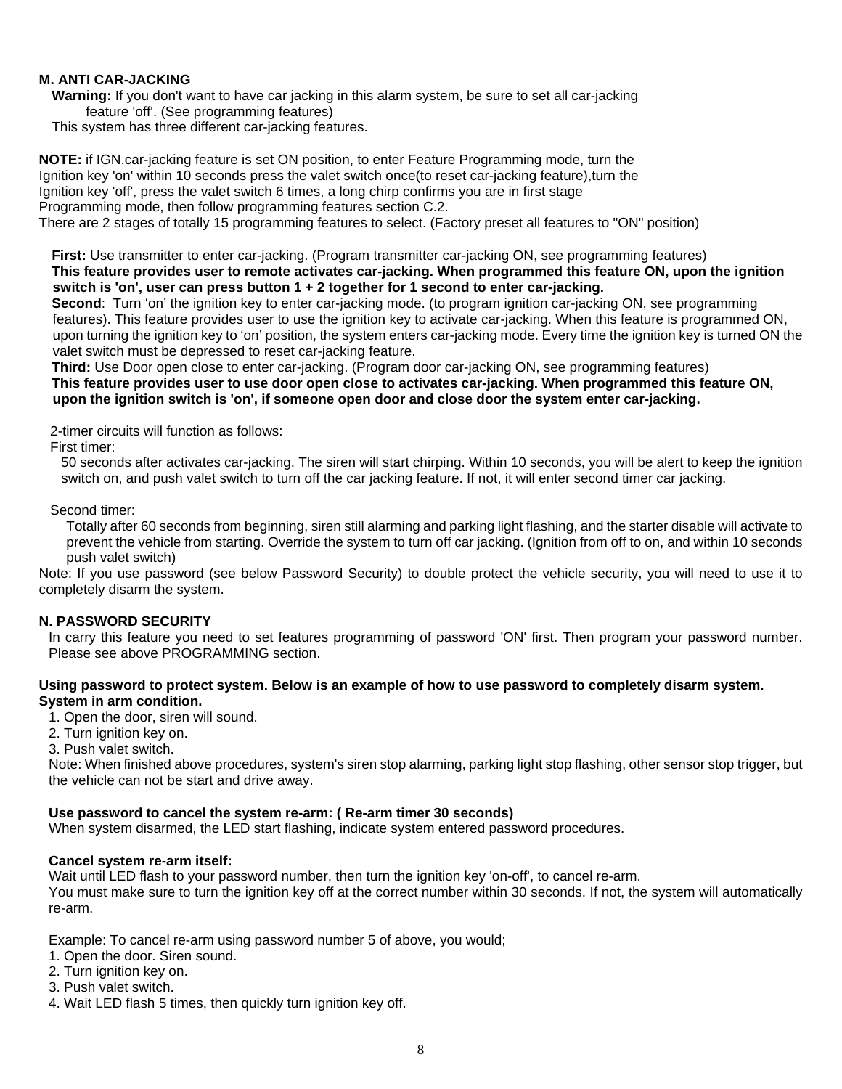# **M. ANTI CAR-JACKING**

**Warning:** If you don't want to have car jacking in this alarm system, be sure to set all car-jacking feature 'off'. (See programming features)

This system has three different car-jacking features.

**NOTE:** if IGN.car-jacking feature is set ON position, to enter Feature Programming mode, turn the Ignition key 'on' within 10 seconds press the valet switch once(to reset car-jacking feature),turn the Ignition key 'off', press the valet switch 6 times, a long chirp confirms you are in first stage Programming mode, then follow programming features section C.2. There are 2 stages of totally 15 programming features to select. (Factory preset all features to "ON" position)

**First:** Use transmitter to enter car-jacking. (Program transmitter car-jacking ON, see programming features) **This feature provides user to remote activates car-jacking. When programmed this feature ON, upon the ignition switch is 'on', user can press button 1 + 2 together for 1 second to enter car-jacking.**

**Second**: Turn 'on' the ignition key to enter car-jacking mode. (to program ignition car-jacking ON, see programming features). This feature provides user to use the ignition key to activate car-jacking. When this feature is programmed ON, upon turning the ignition key to 'on' position, the system enters car-jacking mode. Every time the ignition key is turned ON the valet switch must be depressed to reset car-jacking feature.

**Third:** Use Door open close to enter car-jacking. (Program door car-jacking ON, see programming features) **This feature provides user to use door open close to activates car-jacking. When programmed this feature ON, upon the ignition switch is 'on', if someone open door and close door the system enter car-jacking.** 

2-timer circuits will function as follows:

First timer:

50 seconds after activates car-jacking. The siren will start chirping. Within 10 seconds, you will be alert to keep the ignition switch on, and push valet switch to turn off the car jacking feature. If not, it will enter second timer car jacking.

Second timer:

Totally after 60 seconds from beginning, siren still alarming and parking light flashing, and the starter disable will activate to prevent the vehicle from starting. Override the system to turn off car jacking. (Ignition from off to on, and within 10 seconds push valet switch)

Note: If you use password (see below Password Security) to double protect the vehicle security, you will need to use it to completely disarm the system.

#### **N. PASSWORD SECURITY**

In carry this feature you need to set features programming of password 'ON' first. Then program your password number. Please see above PROGRAMMING section.

#### **Using password to protect system. Below is an example of how to use password to completely disarm system. System in arm condition.**

1. Open the door, siren will sound.

2. Turn ignition key on.

3. Push valet switch.

Note: When finished above procedures, system's siren stop alarming, parking light stop flashing, other sensor stop trigger, but the vehicle can not be start and drive away.

#### **Use password to cancel the system re-arm: ( Re-arm timer 30 seconds)**

When system disarmed, the LED start flashing, indicate system entered password procedures.

#### **Cancel system re-arm itself:**

Wait until LED flash to your password number, then turn the ignition key 'on-off', to cancel re-arm. You must make sure to turn the ignition key off at the correct number within 30 seconds. If not, the system will automatically

Example: To cancel re-arm using password number 5 of above, you would;

- 1. Open the door. Siren sound.
- 2. Turn ignition key on.
- 3. Push valet switch.

re-arm.

4. Wait LED flash 5 times, then quickly turn ignition key off.